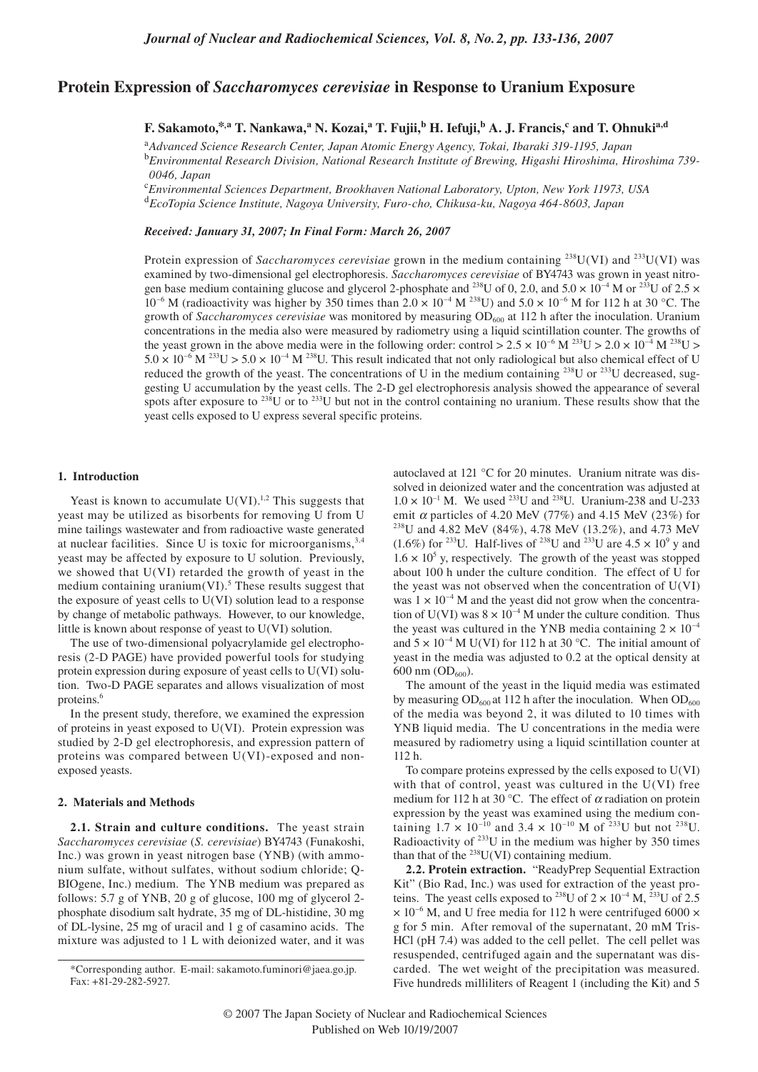# **Protein Expression of** *Saccharomyces cerevisiae* **in Response to Uranium Exposure**

**F. Sakamoto,\*,a T. Nankawa,<sup>a</sup> N. Kozai,<sup>a</sup> T. Fujii,b H. Iefuji,b A. J. Francis,c and T. Ohnukia,d**

<sup>a</sup>*Advanced Science Research Center, Japan Atomic Energy Agency, Tokai, Ibaraki 319-1195, Japan* <sup>b</sup>*Environmental Research Division, National Research Institute of Brewing, Higashi Hiroshima, Hiroshima 739- 0046, Japan*

<sup>c</sup>*Environmental Sciences Department, Brookhaven National Laboratory, Upton, New York 11973, USA* <sup>d</sup>*EcoTopia Science Institute, Nagoya University, Furo-cho, Chikusa-ku, Nagoya 464-8603, Japan*

*Received: January 31, 2007; In Final Form: March 26, 2007*

Protein expression of *Saccharomyces cerevisiae* grown in the medium containing <sup>238</sup>U(VI) and <sup>233</sup>U(VI) was examined by two-dimensional gel electrophoresis. *Saccharomyces cerevisiae* of BY4743 was grown in yeast nitrogen base medium containing glucose and glycerol 2-phosphate and <sup>238</sup>U of 0, 2.0, and  $5.0 \times 10^{-4}$  M or <sup>233</sup>U of 2.5  $\times$  $10^{-6}$  M (radioactivity was higher by 350 times than  $2.0 \times 10^{-4}$  M  $^{238}$ U) and  $5.0 \times 10^{-6}$  M for 112 h at 30 °C. The growth of *Saccharomyces cerevisiae* was monitored by measuring OD<sub>600</sub> at 112 h after the inoculation. Uranium concentrations in the media also were measured by radiometry using a liquid scintillation counter. The growths of the yeast grown in the above media were in the following order: control  $> 2.5 \times 10^{-6}$  M  $^{233}$ U  $> 2.0 \times 10^{-4}$  M  $^{238}$ U  $>$  $5.0 \times 10^{-6}$  M <sup>233</sup>U >  $5.0 \times 10^{-4}$  M <sup>238</sup>U. This result indicated that not only radiological but also chemical effect of U reduced the growth of the yeast. The concentrations of U in the medium containing <sup>238</sup>U or <sup>233</sup>U decreased, suggesting U accumulation by the yeast cells. The 2-D gel electrophoresis analysis showed the appearance of several spots after exposure to  $^{238}$ U or to  $^{233}$ U but not in the control containing no uranium. These results show that the yeast cells exposed to U express several specific proteins.

#### **1. Introduction**

Yeast is known to accumulate  $U(VI).<sup>1,2</sup>$  This suggests that yeast may be utilized as bisorbents for removing U from U mine tailings wastewater and from radioactive waste generated at nuclear facilities. Since U is toxic for microorganisms,  $3,4$ yeast may be affected by exposure to U solution. Previously, we showed that U(VI) retarded the growth of yeast in the medium containing uranium $(VI)$ .<sup>5</sup> These results suggest that the exposure of yeast cells to U(VI) solution lead to a response by change of metabolic pathways. However, to our knowledge, little is known about response of yeast to U(VI) solution.

The use of two-dimensional polyacrylamide gel electrophoresis (2-D PAGE) have provided powerful tools for studying protein expression during exposure of yeast cells to U(VI) solution. Two-D PAGE separates and allows visualization of most proteins.<sup>6</sup>

In the present study, therefore, we examined the expression of proteins in yeast exposed to U(VI). Protein expression was studied by 2-D gel electrophoresis, and expression pattern of proteins was compared between U(VI)-exposed and nonexposed yeasts.

### **2. Materials and Methods**

**2.1. Strain and culture conditions.** The yeast strain *Saccharomyces cerevisiae* (*S. cerevisiae*) BY4743 (Funakoshi, Inc.) was grown in yeast nitrogen base (YNB) (with ammonium sulfate, without sulfates, without sodium chloride; Q-BIOgene, Inc.) medium. The YNB medium was prepared as follows: 5.7 g of YNB, 20 g of glucose, 100 mg of glycerol 2 phosphate disodium salt hydrate, 35 mg of DL-histidine, 30 mg of DL-lysine, 25 mg of uracil and 1 g of casamino acids. The mixture was adjusted to 1 L with deionized water, and it was

autoclaved at 121 °C for 20 minutes. Uranium nitrate was dissolved in deionized water and the concentration was adjusted at  $1.0 \times 10^{-1}$  M. We used <sup>233</sup>U and <sup>238</sup>U. Uranium-238 and U-233 emit α particles of 4.20 MeV (77%) and 4.15 MeV (23%) for <sup>238</sup>U and 4.82 MeV (84%), 4.78 MeV (13.2%), and 4.73 MeV  $(1.6\%)$  for <sup>233</sup>U. Half-lives of <sup>238</sup>U and <sup>233</sup>U are  $4.5 \times 10^9$  y and  $1.6 \times 10^5$  y, respectively. The growth of the yeast was stopped about 100 h under the culture condition. The effect of U for the yeast was not observed when the concentration of U(VI) was  $1 \times 10^{-4}$  M and the yeast did not grow when the concentration of U(VI) was  $8 \times 10^{-4}$  M under the culture condition. Thus the yeast was cultured in the YNB media containing  $2 \times 10^{-4}$ and  $5 \times 10^{-4}$  M U(VI) for 112 h at 30 °C. The initial amount of yeast in the media was adjusted to 0.2 at the optical density at 600 nm  $OD_{600}$ ).

The amount of the yeast in the liquid media was estimated by measuring  $OD_{600}$  at 112 h after the inoculation. When  $OD_{600}$ of the media was beyond 2, it was diluted to 10 times with YNB liquid media. The U concentrations in the media were measured by radiometry using a liquid scintillation counter at 112 h.

To compare proteins expressed by the cells exposed to U(VI) with that of control, yeast was cultured in the U(VI) free medium for 112 h at 30 °C. The effect of  $\alpha$  radiation on protein expression by the yeast was examined using the medium containing  $1.7 \times 10^{-10}$  and  $3.4 \times 10^{-10}$  M of <sup>233</sup>U but not <sup>238</sup>U. Radioactivity of  $233$ U in the medium was higher by 350 times than that of the  $^{238}$ U(VI) containing medium.

**2.2. Protein extraction.** "ReadyPrep Sequential Extraction Kit" (Bio Rad, Inc.) was used for extraction of the yeast proteins. The yeast cells exposed to <sup>238</sup>U of  $2 \times 10^{-4}$  M, <sup>233</sup>U of 2.5  $\times$  10<sup>-6</sup> M, and U free media for 112 h were centrifuged 6000  $\times$ g for 5 min. After removal of the supernatant, 20 mM Tris-HCl (pH 7.4) was added to the cell pellet. The cell pellet was resuspended, centrifuged again and the supernatant was discarded. The wet weight of the precipitation was measured. Five hundreds milliliters of Reagent 1 (including the Kit) and 5

<sup>\*</sup>Corresponding author. E-mail: sakamoto.fuminori@jaea.go.jp. Fax: +81-29-282-5927.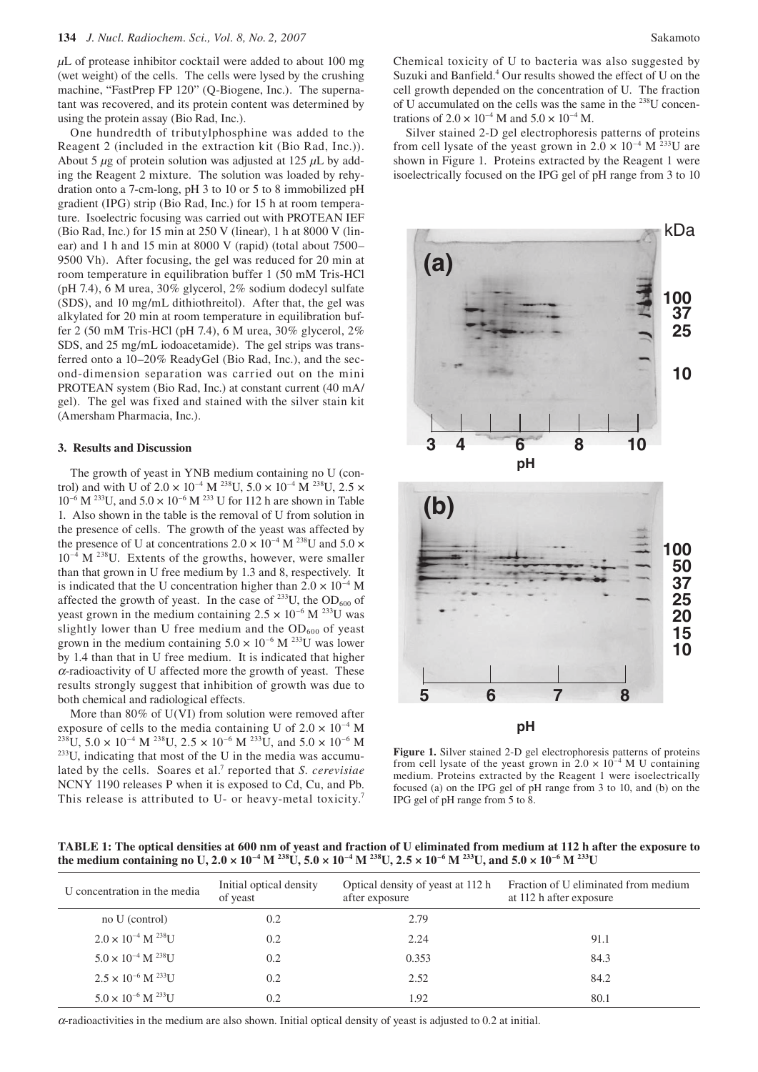*µ*L of protease inhibitor cocktail were added to about 100 mg (wet weight) of the cells. The cells were lysed by the crushing machine, "FastPrep FP 120" (Q-Biogene, Inc.). The supernatant was recovered, and its protein content was determined by using the protein assay (Bio Rad, Inc.).

One hundredth of tributylphosphine was added to the Reagent 2 (included in the extraction kit (Bio Rad, Inc.)). About 5 *µ*g of protein solution was adjusted at 125 *µ*L by adding the Reagent 2 mixture. The solution was loaded by rehydration onto a 7-cm-long, pH 3 to 10 or 5 to 8 immobilized pH gradient (IPG) strip (Bio Rad, Inc.) for 15 h at room temperature. Isoelectric focusing was carried out with PROTEAN IEF (Bio Rad, Inc.) for 15 min at 250 V (linear), 1 h at 8000 V (linear) and 1 h and 15 min at 8000 V (rapid) (total about 7500– 9500 Vh). After focusing, the gel was reduced for 20 min at room temperature in equilibration buffer 1 (50 mM Tris-HCl (pH 7.4), 6 M urea, 30% glycerol, 2% sodium dodecyl sulfate (SDS), and 10 mg/mL dithiothreitol). After that, the gel was alkylated for 20 min at room temperature in equilibration buffer 2 (50 mM Tris-HCl (pH 7.4), 6 M urea, 30% glycerol, 2% SDS, and 25 mg/mL iodoacetamide). The gel strips was transferred onto a 10–20% ReadyGel (Bio Rad, Inc.), and the second-dimension separation was carried out on the mini PROTEAN system (Bio Rad, Inc.) at constant current (40 mA/ gel). The gel was fixed and stained with the silver stain kit (Amersham Pharmacia, Inc.).

#### **3. Results and Discussion**

The growth of yeast in YNB medium containing no U (control) and with U of  $2.0 \times 10^{-4}$  M <sup>238</sup>U,  $5.0 \times 10^{-4}$  M <sup>238</sup>U,  $2.5 \times$  $10^{-6}$  M <sup>233</sup>U, and  $5.0 \times 10^{-6}$  M <sup>233</sup>U for 112 h are shown in Table 1. Also shown in the table is the removal of U from solution in the presence of cells. The growth of the yeast was affected by the presence of U at concentrations  $2.0 \times 10^{-4}$  M <sup>238</sup>U and  $5.0 \times$  $10^{-4}$  M  $^{238}$ U. Extents of the growths, however, were smaller than that grown in U free medium by 1.3 and 8, respectively. It is indicated that the U concentration higher than  $2.0 \times 10^{-4}$  M affected the growth of yeast. In the case of  $^{233}$ U, the OD<sub>600</sub> of yeast grown in the medium containing  $2.5 \times 10^{-6}$  M <sup>233</sup>U was slightly lower than U free medium and the  $OD<sub>600</sub>$  of yeast grown in the medium containing  $5.0 \times 10^{-6}$  M <sup>233</sup>U was lower by 1.4 than that in U free medium. It is indicated that higher  $\alpha$ -radioactivity of U affected more the growth of yeast. These results strongly suggest that inhibition of growth was due to both chemical and radiological effects.

More than 80% of U(VI) from solution were removed after exposure of cells to the media containing U of 2.0  $\times$  10<sup>-4</sup> M <sup>238</sup>U, 5.0  $\times$  10<sup>-4</sup> M <sup>238</sup>U, 2.5  $\times$  10<sup>-6</sup> M <sup>233</sup>U, and 5.0  $\times$  10<sup>-6</sup> M <sup>233</sup>U, indicating that most of the U in the media was accumulated by the cells. Soares et al.<sup>7</sup> reported that *S. cerevisiae* NCNY 1190 releases P when it is exposed to Cd, Cu, and Pb. This release is attributed to U- or heavy-metal toxicity.<sup>7</sup>

Chemical toxicity of U to bacteria was also suggested by Suzuki and Banfield.<sup>4</sup> Our results showed the effect of U on the cell growth depended on the concentration of U. The fraction of U accumulated on the cells was the same in the 238U concentrations of  $2.0 \times 10^{-4}$  M and  $5.0 \times 10^{-4}$  M.

Silver stained 2-D gel electrophoresis patterns of proteins from cell lysate of the yeast grown in  $2.0 \times 10^{-4}$  M <sup>233</sup>U are shown in Figure 1. Proteins extracted by the Reagent 1 were isoelectrically focused on the IPG gel of pH range from 3 to 10



**Figure 1.** Silver stained 2-D gel electrophoresis patterns of proteins from cell lysate of the yeast grown in  $2.0 \times 10^{-4}$  M U containing medium. Proteins extracted by the Reagent 1 were isoelectrically focused (a) on the IPG gel of pH range from 3 to 10, and (b) on the IPG gel of pH range from 5 to 8.

**TABLE 1: The optical densities at 600 nm of yeast and fraction of U eliminated from medium at 112 h after the exposure to**  the medium containing no U,  $2.0 \times 10^{-4}$  M  $^{238}$ U,  $5.0 \times 10^{-4}$  M  $^{238}$ U,  $2.5 \times 10^{-6}$  M  $^{233}$ U, and  $5.0 \times 10^{-6}$  M  $^{233}$ U

| U concentration in the media            | Initial optical density<br>of yeast | Optical density of yeast at 112 h<br>after exposure | Fraction of U eliminated from medium<br>at 112 h after exposure |
|-----------------------------------------|-------------------------------------|-----------------------------------------------------|-----------------------------------------------------------------|
| no U (control)                          | 0.2                                 | 2.79                                                |                                                                 |
| $2.0 \times 10^{-4}$ M <sup>238</sup> U | 0.2                                 | 2.24                                                | 91.1                                                            |
| $5.0 \times 10^{-4}$ M $^{238}$ U       | 0.2                                 | 0.353                                               | 84.3                                                            |
| $2.5 \times 10^{-6}$ M $^{233}$ U       | 0.2                                 | 2.52                                                | 84.2                                                            |
| $5.0 \times 10^{-6}$ M $^{233}$ U       | 0.2                                 | 1.92                                                | 80.1                                                            |

 $\alpha$ -radioactivities in the medium are also shown. Initial optical density of yeast is adjusted to 0.2 at initial.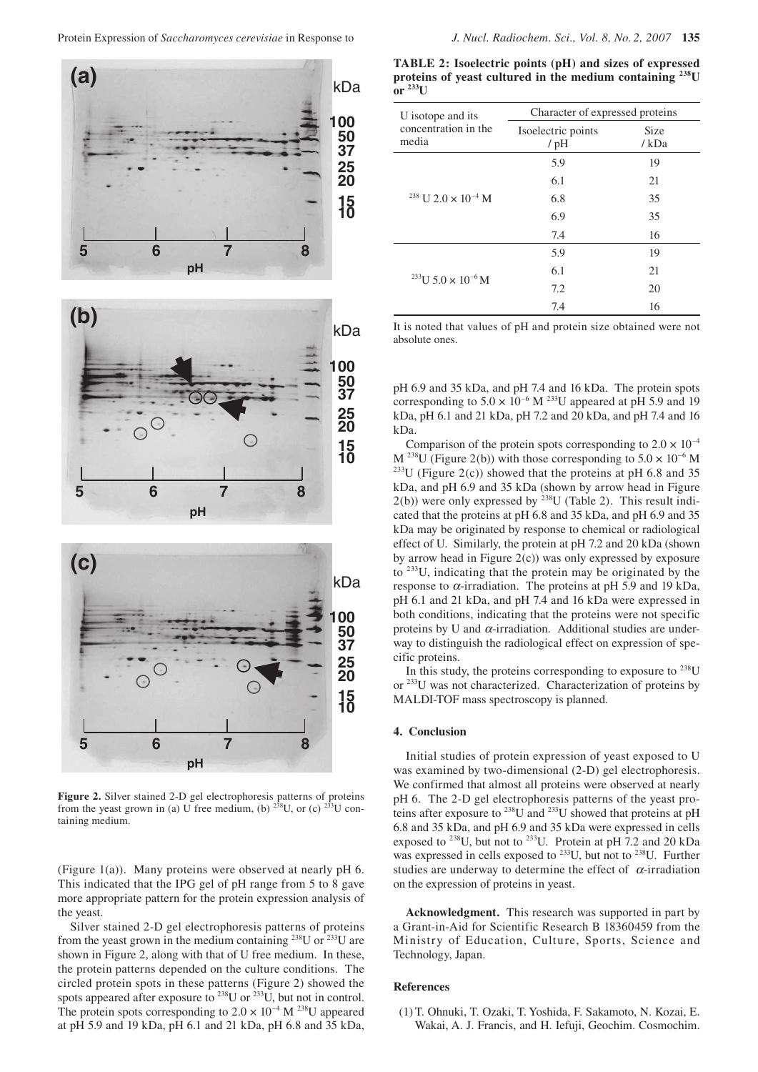

**Figure 2.** Silver stained 2-D gel electrophoresis patterns of proteins from the yeast grown in (a) U free medium, (b)  $^{238}$ U, or (c)  $^{233}$ U containing medium.

(Figure 1(a)). Many proteins were observed at nearly pH 6. This indicated that the IPG gel of pH range from 5 to 8 gave more appropriate pattern for the protein expression analysis of the yeast.

Silver stained 2-D gel electrophoresis patterns of proteins from the yeast grown in the medium containing  $^{238}$ U or  $^{233}$ U are shown in Figure 2, along with that of U free medium. In these, the protein patterns depended on the culture conditions. The circled protein spots in these patterns (Figure 2) showed the spots appeared after exposure to  $^{238}$ U or  $^{233}$ U, but not in control. The protein spots corresponding to  $2.0 \times 10^{-4}$  M <sup>238</sup>U appeared at pH 5.9 and 19 kDa, pH 6.1 and 21 kDa, pH 6.8 and 35 kDa,

**TABLE 2: Isoelectric points (pH) and sizes of expressed proteins of yeast cultured in the medium containing 238U**   $\overline{\text{or}}$   $^{233}$ U

| U isotope and its                                | Character of expressed proteins |              |  |
|--------------------------------------------------|---------------------------------|--------------|--|
| concentration in the<br>media                    | Isoelectric points<br>$/$ pH    | Size<br>/kDa |  |
|                                                  | 5.9                             | 19           |  |
|                                                  | 6.1                             | 21           |  |
| <sup>238</sup> U 2.0 $\times$ 10 <sup>-4</sup> M | 6.8                             | 35           |  |
|                                                  | 6.9                             | 35           |  |
|                                                  | 7.4                             | 16           |  |
|                                                  | 5.9                             | 19           |  |
| <sup>233</sup> U 5.0 $\times$ 10 <sup>-6</sup> M | 6.1                             | 21           |  |
|                                                  | 7.2                             | 20           |  |
|                                                  | 7.4                             | 16           |  |

It is noted that values of pH and protein size obtained were not absolute ones.

pH 6.9 and 35 kDa, and pH 7.4 and 16 kDa. The protein spots corresponding to  $5.0 \times 10^{-6}$  M <sup>233</sup>U appeared at pH 5.9 and 19 kDa, pH 6.1 and 21 kDa, pH 7.2 and 20 kDa, and pH 7.4 and 16 kDa.

Comparison of the protein spots corresponding to  $2.0 \times 10^{-4}$ M <sup>238</sup>U (Figure 2(b)) with those corresponding to  $5.0 \times 10^{-6}$  M  $^{233}$ U (Figure 2(c)) showed that the proteins at pH 6.8 and 35 kDa, and pH 6.9 and 35 kDa (shown by arrow head in Figure  $2(b)$ ) were only expressed by <sup>238</sup>U (Table 2). This result indicated that the proteins at pH 6.8 and 35 kDa, and pH 6.9 and 35 kDa may be originated by response to chemical or radiological effect of U. Similarly, the protein at pH 7.2 and 20 kDa (shown by arrow head in Figure 2(c)) was only expressed by exposure to 233U, indicating that the protein may be originated by the response to  $\alpha$ -irradiation. The proteins at pH 5.9 and 19 kDa, pH 6.1 and 21 kDa, and pH 7.4 and 16 kDa were expressed in both conditions, indicating that the proteins were not specific proteins by U and  $\alpha$ -irradiation. Additional studies are underway to distinguish the radiological effect on expression of specific proteins.

In this study, the proteins corresponding to exposure to  $^{238}$ U or <sup>233</sup>U was not characterized. Characterization of proteins by MALDI-TOF mass spectroscopy is planned.

#### **4. Conclusion**

Initial studies of protein expression of yeast exposed to U was examined by two-dimensional (2-D) gel electrophoresis. We confirmed that almost all proteins were observed at nearly pH 6. The 2-D gel electrophoresis patterns of the yeast proteins after exposure to  $^{238}$ U and  $^{233}$ U showed that proteins at pH 6.8 and 35 kDa, and pH 6.9 and 35 kDa were expressed in cells exposed to <sup>238</sup>U, but not to <sup>233</sup>U. Protein at pH 7.2 and 20 kDa was expressed in cells exposed to <sup>233</sup>U, but not to <sup>238</sup>U. Further studies are underway to determine the effect of  $\alpha$ -irradiation on the expression of proteins in yeast.

**Acknowledgment.** This research was supported in part by a Grant-in-Aid for Scientific Research B 18360459 from the Ministry of Education, Culture, Sports, Science and Technology, Japan.

## **References**

 (1) T. Ohnuki, T. Ozaki, T. Yoshida, F. Sakamoto, N. Kozai, E. Wakai, A. J. Francis, and H. Iefuji, Geochim. Cosmochim.